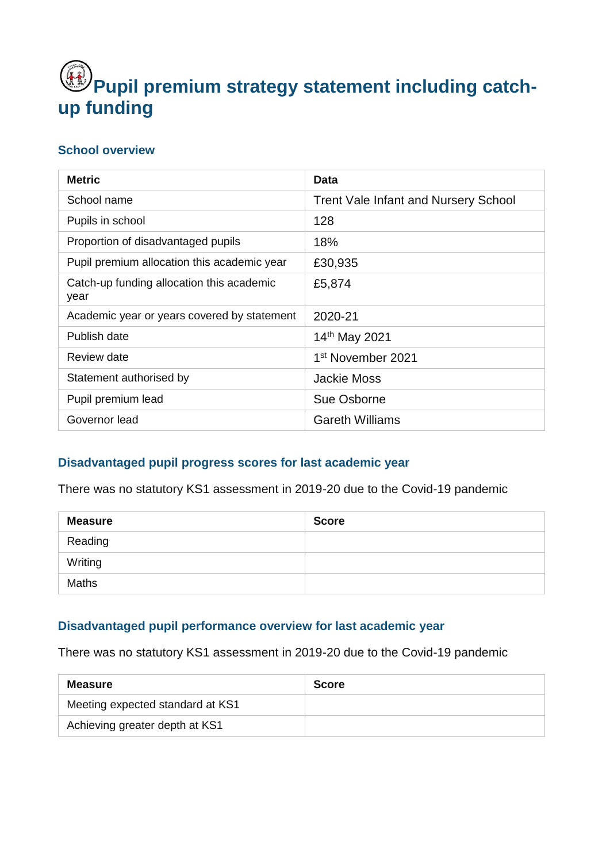# Pupil premium strategy statement including catch**up funding**

#### **School overview**

| <b>Metric</b>                                     | <b>Data</b>                                 |
|---------------------------------------------------|---------------------------------------------|
| School name                                       | <b>Trent Vale Infant and Nursery School</b> |
| Pupils in school                                  | 128                                         |
| Proportion of disadvantaged pupils                | 18%                                         |
| Pupil premium allocation this academic year       | £30,935                                     |
| Catch-up funding allocation this academic<br>year | £5,874                                      |
| Academic year or years covered by statement       | 2020-21                                     |
| Publish date                                      | 14th May 2021                               |
| Review date                                       | 1 <sup>st</sup> November 2021               |
| Statement authorised by                           | <b>Jackie Moss</b>                          |
| Pupil premium lead                                | Sue Osborne                                 |
| Governor lead                                     | <b>Gareth Williams</b>                      |

## **Disadvantaged pupil progress scores for last academic year**

There was no statutory KS1 assessment in 2019-20 due to the Covid-19 pandemic

| <b>Measure</b> | <b>Score</b> |
|----------------|--------------|
| Reading        |              |
| Writing        |              |
| <b>Maths</b>   |              |

## **Disadvantaged pupil performance overview for last academic year**

There was no statutory KS1 assessment in 2019-20 due to the Covid-19 pandemic

| <b>Measure</b>                   | <b>Score</b> |
|----------------------------------|--------------|
| Meeting expected standard at KS1 |              |
| Achieving greater depth at KS1   |              |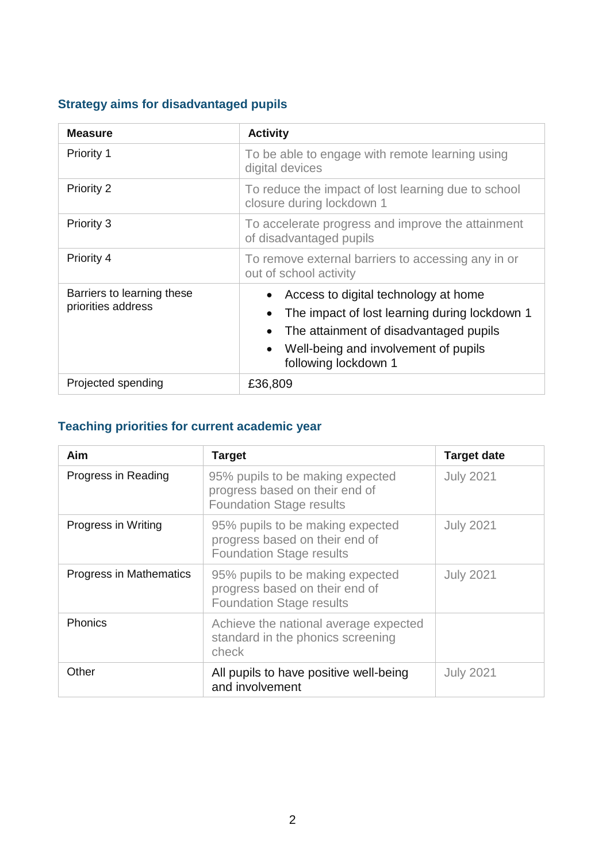## **Strategy aims for disadvantaged pupils**

| <b>Measure</b>                                   | <b>Activity</b>                                                                                                                                                                                                                        |  |
|--------------------------------------------------|----------------------------------------------------------------------------------------------------------------------------------------------------------------------------------------------------------------------------------------|--|
| <b>Priority 1</b>                                | To be able to engage with remote learning using<br>digital devices                                                                                                                                                                     |  |
| Priority 2                                       | To reduce the impact of lost learning due to school<br>closure during lockdown 1                                                                                                                                                       |  |
| Priority 3                                       | To accelerate progress and improve the attainment<br>of disadvantaged pupils                                                                                                                                                           |  |
| Priority 4                                       | To remove external barriers to accessing any in or<br>out of school activity                                                                                                                                                           |  |
| Barriers to learning these<br>priorities address | Access to digital technology at home<br>The impact of lost learning during lockdown 1<br>$\bullet$<br>The attainment of disadvantaged pupils<br>$\bullet$<br>Well-being and involvement of pupils<br>$\bullet$<br>following lockdown 1 |  |
| Projected spending                               | £36,809                                                                                                                                                                                                                                |  |

## **Teaching priorities for current academic year**

| Aim                     | <b>Target</b>                                                                                         | <b>Target date</b> |
|-------------------------|-------------------------------------------------------------------------------------------------------|--------------------|
| Progress in Reading     | 95% pupils to be making expected<br>progress based on their end of<br><b>Foundation Stage results</b> | <b>July 2021</b>   |
| Progress in Writing     | 95% pupils to be making expected<br>progress based on their end of<br><b>Foundation Stage results</b> | <b>July 2021</b>   |
| Progress in Mathematics | 95% pupils to be making expected<br>progress based on their end of<br><b>Foundation Stage results</b> | <b>July 2021</b>   |
| <b>Phonics</b>          | Achieve the national average expected<br>standard in the phonics screening<br>check                   |                    |
| Other                   | All pupils to have positive well-being<br>and involvement                                             | <b>July 2021</b>   |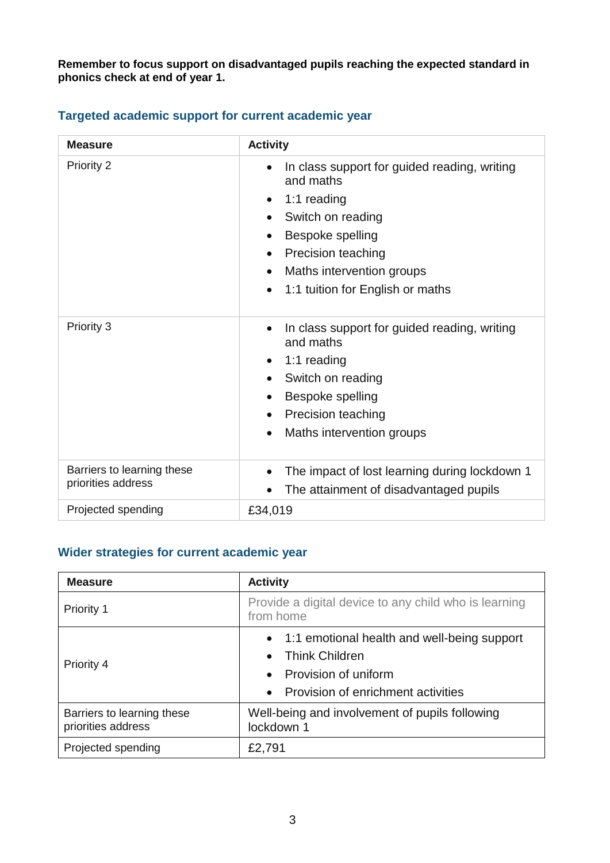**Remember to focus support on disadvantaged pupils reaching the expected standard in phonics check at end of year 1.** 

| <b>Measure</b>                                   | <b>Activity</b>                                                                                                                                                                                                                                                                                            |  |
|--------------------------------------------------|------------------------------------------------------------------------------------------------------------------------------------------------------------------------------------------------------------------------------------------------------------------------------------------------------------|--|
| <b>Priority 2</b>                                | In class support for guided reading, writing<br>$\bullet$<br>and maths<br>1:1 reading<br>$\bullet$<br>Switch on reading<br>$\bullet$<br>Bespoke spelling<br>$\bullet$<br><b>Precision teaching</b><br>$\bullet$<br>Maths intervention groups<br>$\bullet$<br>1:1 tuition for English or maths<br>$\bullet$ |  |
| Priority 3                                       | In class support for guided reading, writing<br>$\bullet$<br>and maths<br>1:1 reading<br>$\bullet$<br>Switch on reading<br>$\bullet$<br>Bespoke spelling<br>$\bullet$<br>Precision teaching<br>$\bullet$<br>Maths intervention groups<br>$\bullet$                                                         |  |
| Barriers to learning these<br>priorities address | The impact of lost learning during lockdown 1<br>$\bullet$<br>The attainment of disadvantaged pupils<br>$\bullet$                                                                                                                                                                                          |  |
| Projected spending                               | £34,019                                                                                                                                                                                                                                                                                                    |  |

### **Targeted academic support for current academic year**

## **Wider strategies for current academic year**

| <b>Measure</b>                                   | <b>Activity</b>                                                                                                                                                                        |  |
|--------------------------------------------------|----------------------------------------------------------------------------------------------------------------------------------------------------------------------------------------|--|
| Priority 1                                       | Provide a digital device to any child who is learning<br>from home                                                                                                                     |  |
| Priority 4                                       | 1:1 emotional health and well-being support<br>$\bullet$<br><b>Think Children</b><br>$\bullet$<br>Provision of uniform<br>$\bullet$<br>Provision of enrichment activities<br>$\bullet$ |  |
| Barriers to learning these<br>priorities address | Well-being and involvement of pupils following<br>lockdown 1                                                                                                                           |  |
| Projected spending                               | £2,791                                                                                                                                                                                 |  |